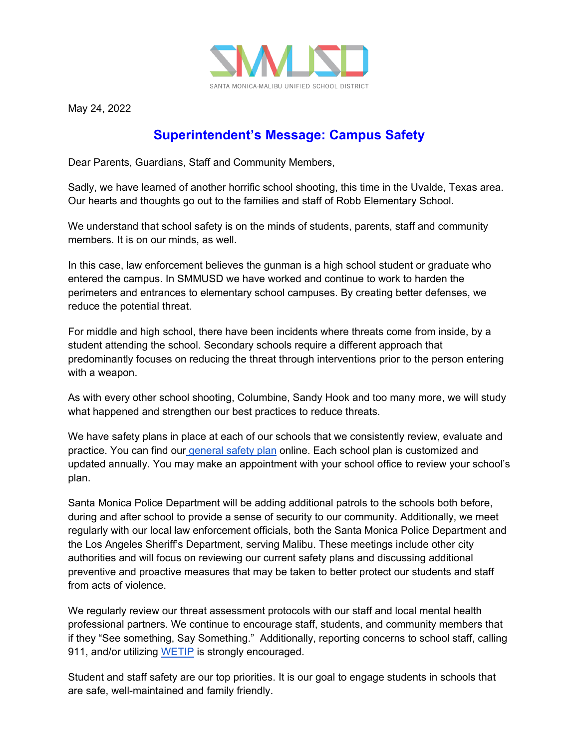

May 24, 2022

## **Superintendent's Message: Campus Safety**

Dear Parents, Guardians, Staff and Community Members,

Sadly, we have learned of another horrific school shooting, this time in the Uvalde, Texas area. Our hearts and thoughts go out to the families and staff of Robb Elementary School.

We understand that school safety is on the minds of students, parents, staff and community members. It is on our minds, as well.

In this case, law enforcement believes the gunman is a high school student or graduate who entered the campus. In SMMUSD we have worked and continue to work to harden the perimeters and entrances to elementary school campuses. By creating better defenses, we reduce the potential threat.

For middle and high school, there have been incidents where threats come from inside, by a student attending the school. Secondary schools require a different approach that predominantly focuses on reducing the threat through interventions prior to the person entering with a weapon.

As with every other school shooting, Columbine, Sandy Hook and too many more, we will study what happened and strengthen our best practices to reduce threats.

We have safety plans in place at each of our schools that we consistently review, evaluate and practice. You can find our [general safety plan](https://www.smmusd.org/cms/lib/CA50000164/Centricity/Shared/SchoolSafetyPlan.pdf) online. Each school plan is customized and updated annually. You may make an appointment with your school office to review your school's plan.

Santa Monica Police Department will be adding additional patrols to the schools both before, during and after school to provide a sense of security to our community. Additionally, we meet regularly with our local law enforcement officials, both the Santa Monica Police Department and the Los Angeles Sheriff's Department, serving Malibu. These meetings include other city authorities and will focus on reviewing our current safety plans and discussing additional preventive and proactive measures that may be taken to better protect our students and staff from acts of violence.

We regularly review our threat assessment protocols with our staff and local mental health professional partners. We continue to encourage staff, students, and community members that if they "See something, Say Something." Additionally, reporting concerns to school staff, calling 911, and/or utilizing [WETIP](https://www.wetip.com/submit-a-tip/) is strongly encouraged.

Student and staff safety are our top priorities. It is our goal to engage students in schools that are safe, well-maintained and family friendly.